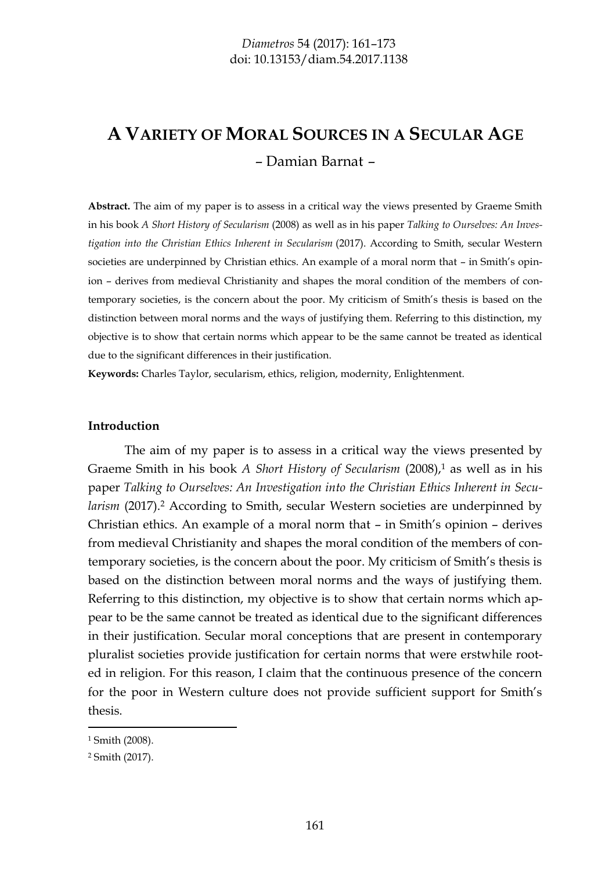# **A VARIETY OF MORAL SOURCES IN A SECULAR AGE** – Damian Barnat –

**Abstract.** The aim of my paper is to assess in a critical way the views presented by Graeme Smith in his book *A Short History of Secularism* (2008) as well as in his paper *Talking to Ourselves: An Investigation into the Christian Ethics Inherent in Secularism* (2017). According to Smith, secular Western societies are underpinned by Christian ethics. An example of a moral norm that – in Smith's opinion – derives from medieval Christianity and shapes the moral condition of the members of contemporary societies, is the concern about the poor. My criticism of Smith's thesis is based on the distinction between moral norms and the ways of justifying them. Referring to this distinction, my objective is to show that certain norms which appear to be the same cannot be treated as identical due to the significant differences in their justification.

**Keywords:** Charles Taylor, secularism, ethics, religion, modernity, Enlightenment.

#### **Introduction**

The aim of my paper is to assess in a critical way the views presented by Graeme Smith in his book *A Short History of Secularism* (2008),<sup>1</sup> as well as in his paper *Talking to Ourselves: An Investigation into the Christian Ethics Inherent in Secularism* (2017).<sup>2</sup> According to Smith, secular Western societies are underpinned by Christian ethics. An example of a moral norm that – in Smith's opinion – derives from medieval Christianity and shapes the moral condition of the members of contemporary societies, is the concern about the poor. My criticism of Smith's thesis is based on the distinction between moral norms and the ways of justifying them. Referring to this distinction, my objective is to show that certain norms which appear to be the same cannot be treated as identical due to the significant differences in their justification. Secular moral conceptions that are present in contemporary pluralist societies provide justification for certain norms that were erstwhile rooted in religion. For this reason, I claim that the continuous presence of the concern for the poor in Western culture does not provide sufficient support for Smith's thesis.

<sup>1</sup> Smith (2008).

<sup>2</sup> Smith (2017).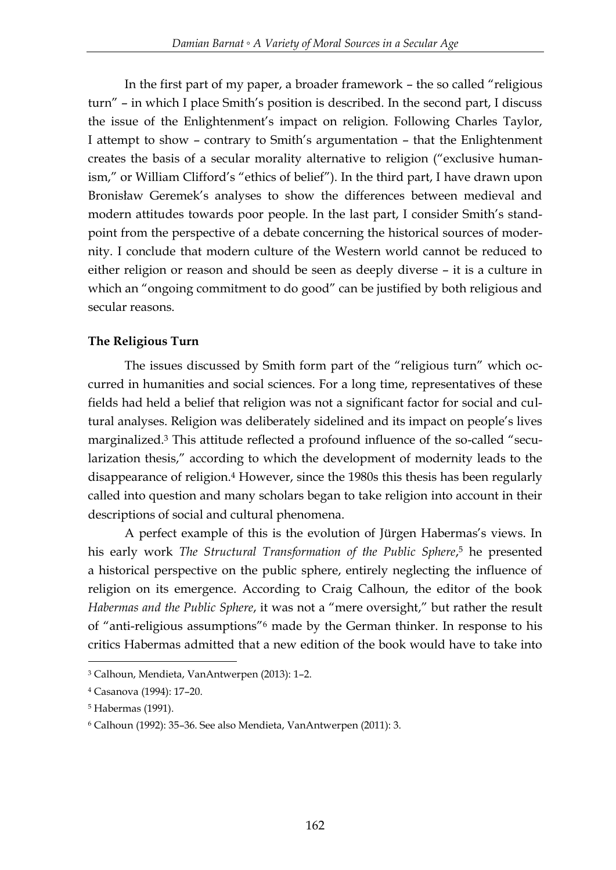In the first part of my paper, a broader framework – the so called "religious turn" – in which I place Smith's position is described. In the second part, I discuss the issue of the Enlightenment's impact on religion. Following Charles Taylor, I attempt to show – contrary to Smith's argumentation – that the Enlightenment creates the basis of a secular morality alternative to religion ("exclusive humanism," or William Clifford's "ethics of belief"). In the third part, I have drawn upon Bronisław Geremek's analyses to show the differences between medieval and modern attitudes towards poor people. In the last part, I consider Smith's standpoint from the perspective of a debate concerning the historical sources of modernity. I conclude that modern culture of the Western world cannot be reduced to either religion or reason and should be seen as deeply diverse – it is a culture in which an "ongoing commitment to do good" can be justified by both religious and secular reasons.

# **The Religious Turn**

The issues discussed by Smith form part of the "religious turn" which occurred in humanities and social sciences. For a long time, representatives of these fields had held a belief that religion was not a significant factor for social and cultural analyses. Religion was deliberately sidelined and its impact on people's lives marginalized.<sup>3</sup> This attitude reflected a profound influence of the so-called "secularization thesis," according to which the development of modernity leads to the disappearance of religion.<sup>4</sup> However, since the 1980s this thesis has been regularly called into question and many scholars began to take religion into account in their descriptions of social and cultural phenomena.

A perfect example of this is the evolution of Jürgen Habermas's views. In his early work *The Structural Transformation of the Public Sphere*, <sup>5</sup> he presented a historical perspective on the public sphere, entirely neglecting the influence of religion on its emergence. According to Craig Calhoun, the editor of the book *Habermas and the Public Sphere*, it was not a "mere oversight," but rather the result of "anti-religious assumptions"<sup>6</sup> made by the German thinker. In response to his critics Habermas admitted that a new edition of the book would have to take into

<sup>3</sup> Calhoun, Mendieta, VanAntwerpen (2013): 1–2.

<sup>4</sup> Casanova (1994): 17–20.

<sup>5</sup> Habermas (1991).

<sup>6</sup> Calhoun (1992): 35–36. See also Mendieta, VanAntwerpen (2011): 3.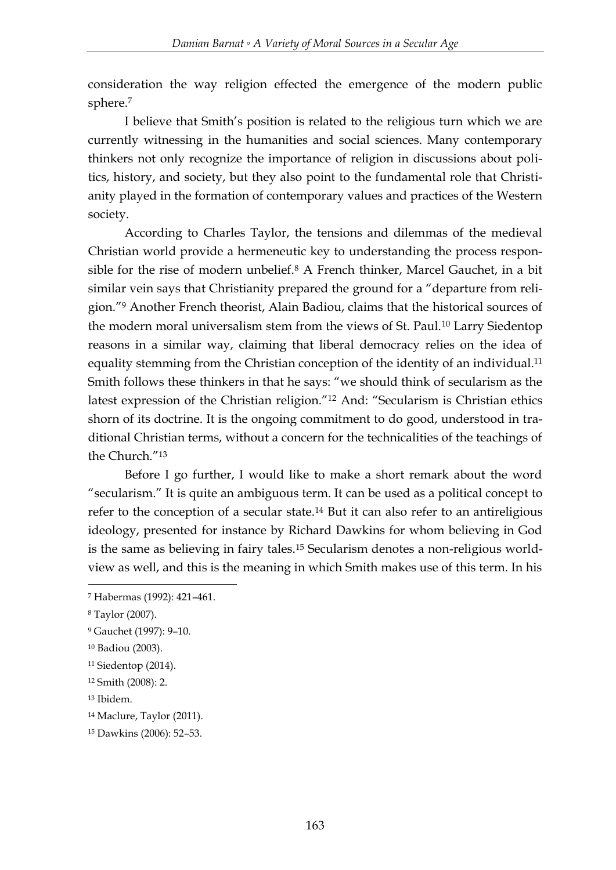consideration the way religion effected the emergence of the modern public sphere.<sup>7</sup>

I believe that Smith's position is related to the religious turn which we are currently witnessing in the humanities and social sciences. Many contemporary thinkers not only recognize the importance of religion in discussions about politics, history, and society, but they also point to the fundamental role that Christianity played in the formation of contemporary values and practices of the Western society.

According to Charles Taylor, the tensions and dilemmas of the medieval Christian world provide a hermeneutic key to understanding the process responsible for the rise of modern unbelief.<sup>8</sup> A French thinker, Marcel Gauchet, in a bit similar vein says that Christianity prepared the ground for a "departure from religion."<sup>9</sup> Another French theorist, Alain Badiou, claims that the historical sources of the modern moral universalism stem from the views of St. Paul.<sup>10</sup> Larry Siedentop reasons in a similar way, claiming that liberal democracy relies on the idea of equality stemming from the Christian conception of the identity of an individual.<sup>11</sup> Smith follows these thinkers in that he says: "we should think of secularism as the latest expression of the Christian religion."<sup>12</sup> And: "Secularism is Christian ethics shorn of its doctrine. It is the ongoing commitment to do good, understood in traditional Christian terms, without a concern for the technicalities of the teachings of the Church."<sup>13</sup>

Before I go further, I would like to make a short remark about the word "secularism." It is quite an ambiguous term. It can be used as a political concept to refer to the conception of a secular state.<sup>14</sup> But it can also refer to an antireligious ideology, presented for instance by Richard Dawkins for whom believing in God is the same as believing in fairy tales.<sup>15</sup> Secularism denotes a non-religious worldview as well, and this is the meaning in which Smith makes use of this term. In his

<sup>7</sup> Habermas (1992): 421–461.

<sup>8</sup> Taylor (2007).

<sup>9</sup> Gauchet (1997): 9–10.

<sup>10</sup> Badiou (2003).

<sup>11</sup> Siedentop (2014).

<sup>12</sup> Smith (2008): 2.

<sup>13</sup> Ibidem.

<sup>14</sup> Maclure, Taylor (2011).

<sup>15</sup> Dawkins (2006): 52–53.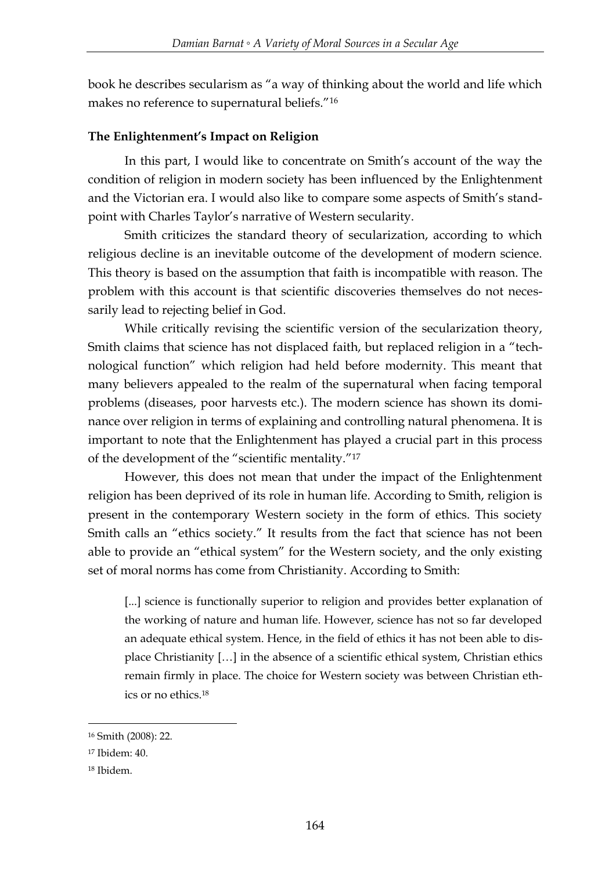book he describes secularism as "a way of thinking about the world and life which makes no reference to supernatural beliefs."<sup>16</sup>

# **The Enlightenment's Impact on Religion**

In this part, I would like to concentrate on Smith's account of the way the condition of religion in modern society has been influenced by the Enlightenment and the Victorian era. I would also like to compare some aspects of Smith's standpoint with Charles Taylor's narrative of Western secularity.

Smith criticizes the standard theory of secularization, according to which religious decline is an inevitable outcome of the development of modern science. This theory is based on the assumption that faith is incompatible with reason. The problem with this account is that scientific discoveries themselves do not necessarily lead to rejecting belief in God.

While critically revising the scientific version of the secularization theory, Smith claims that science has not displaced faith, but replaced religion in a "technological function" which religion had held before modernity. This meant that many believers appealed to the realm of the supernatural when facing temporal problems (diseases, poor harvests etc.). The modern science has shown its dominance over religion in terms of explaining and controlling natural phenomena. It is important to note that the Enlightenment has played a crucial part in this process of the development of the "scientific mentality."<sup>17</sup>

However, this does not mean that under the impact of the Enlightenment religion has been deprived of its role in human life. According to Smith, religion is present in the contemporary Western society in the form of ethics. This society Smith calls an "ethics society." It results from the fact that science has not been able to provide an "ethical system" for the Western society, and the only existing set of moral norms has come from Christianity. According to Smith:

[...] science is functionally superior to religion and provides better explanation of the working of nature and human life. However, science has not so far developed an adequate ethical system. Hence, in the field of ethics it has not been able to displace Christianity […] in the absence of a scientific ethical system, Christian ethics remain firmly in place. The choice for Western society was between Christian ethics or no ethics.<sup>18</sup>

<sup>&</sup>lt;u>.</u> <sup>16</sup> Smith (2008): 22.

<sup>17</sup> Ibidem: 40.

<sup>18</sup> Ibidem.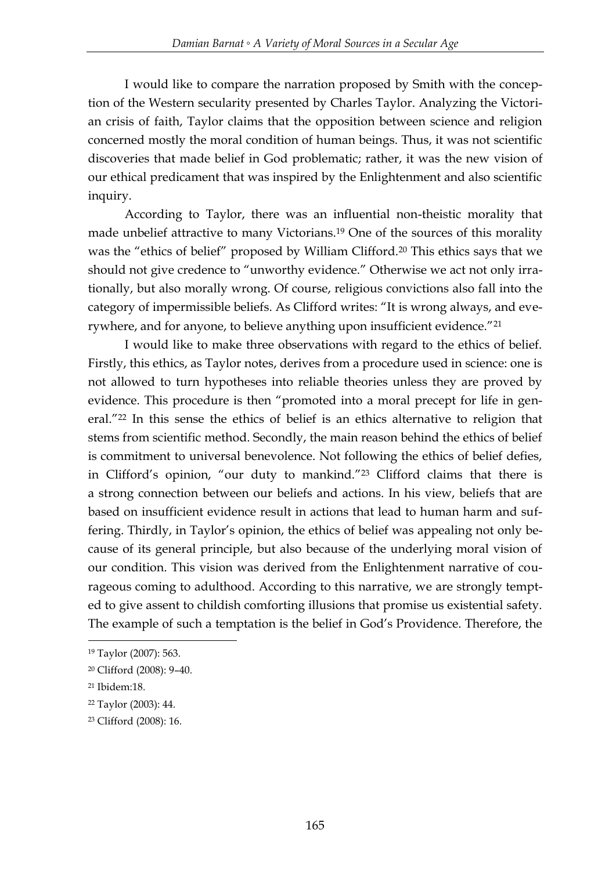I would like to compare the narration proposed by Smith with the conception of the Western secularity presented by Charles Taylor. Analyzing the Victorian crisis of faith, Taylor claims that the opposition between science and religion concerned mostly the moral condition of human beings. Thus, it was not scientific discoveries that made belief in God problematic; rather, it was the new vision of our ethical predicament that was inspired by the Enlightenment and also scientific inquiry.

According to Taylor, there was an influential non-theistic morality that made unbelief attractive to many Victorians.<sup>19</sup> One of the sources of this morality was the "ethics of belief" proposed by William Clifford.<sup>20</sup> This ethics says that we should not give credence to "unworthy evidence." Otherwise we act not only irrationally, but also morally wrong. Of course, religious convictions also fall into the category of impermissible beliefs. As Clifford writes: "It is wrong always, and everywhere, and for anyone, to believe anything upon insufficient evidence."<sup>21</sup>

I would like to make three observations with regard to the ethics of belief. Firstly, this ethics, as Taylor notes, derives from a procedure used in science: one is not allowed to turn hypotheses into reliable theories unless they are proved by evidence. This procedure is then "promoted into a moral precept for life in general."<sup>22</sup> In this sense the ethics of belief is an ethics alternative to religion that stems from scientific method. Secondly, the main reason behind the ethics of belief is commitment to universal benevolence. Not following the ethics of belief defies, in Clifford's opinion, "our duty to mankind."<sup>23</sup> Clifford claims that there is a strong connection between our beliefs and actions. In his view, beliefs that are based on insufficient evidence result in actions that lead to human harm and suffering. Thirdly, in Taylor's opinion, the ethics of belief was appealing not only because of its general principle, but also because of the underlying moral vision of our condition. This vision was derived from the Enlightenment narrative of courageous coming to adulthood. According to this narrative, we are strongly tempted to give assent to childish comforting illusions that promise us existential safety. The example of such a temptation is the belief in God's Providence. Therefore, the

<sup>19</sup> Taylor (2007): 563.

<sup>20</sup> Clifford (2008): 9–40.

<sup>21</sup> Ibidem:18.

<sup>22</sup> Taylor (2003): 44.

<sup>23</sup> Clifford (2008): 16.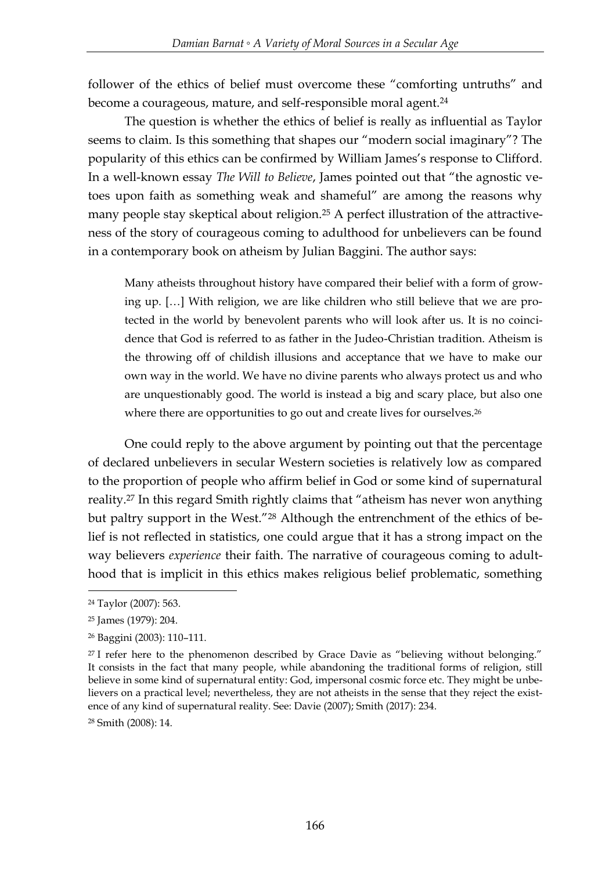follower of the ethics of belief must overcome these "comforting untruths" and become a courageous, mature, and self-responsible moral agent.<sup>24</sup>

The question is whether the ethics of belief is really as influential as Taylor seems to claim. Is this something that shapes our "modern social imaginary"? The popularity of this ethics can be confirmed by William James's response to Clifford. In a well-known essay *The Will to Believe*, James pointed out that "the agnostic vetoes upon faith as something weak and shameful" are among the reasons why many people stay skeptical about religion.<sup>25</sup> A perfect illustration of the attractiveness of the story of courageous coming to adulthood for unbelievers can be found in a contemporary book on atheism by Julian Baggini. The author says:

Many atheists throughout history have compared their belief with a form of growing up. […] With religion, we are like children who still believe that we are protected in the world by benevolent parents who will look after us. It is no coincidence that God is referred to as father in the Judeo-Christian tradition. Atheism is the throwing off of childish illusions and acceptance that we have to make our own way in the world. We have no divine parents who always protect us and who are unquestionably good. The world is instead a big and scary place, but also one where there are opportunities to go out and create lives for ourselves.<sup>26</sup>

One could reply to the above argument by pointing out that the percentage of declared unbelievers in secular Western societies is relatively low as compared to the proportion of people who affirm belief in God or some kind of supernatural reality.<sup>27</sup> In this regard Smith rightly claims that "atheism has never won anything but paltry support in the West."<sup>28</sup> Although the entrenchment of the ethics of belief is not reflected in statistics, one could argue that it has a strong impact on the way believers *experience* their faith. The narrative of courageous coming to adulthood that is implicit in this ethics makes religious belief problematic, something

-

<sup>28</sup> Smith (2008): 14.

<sup>24</sup> Taylor (2007): 563.

<sup>25</sup> James (1979): 204.

<sup>26</sup> Baggini (2003): 110–111.

 $27$  I refer here to the phenomenon described by Grace Davie as "believing without belonging." It consists in the fact that many people, while abandoning the traditional forms of religion, still believe in some kind of supernatural entity: God, impersonal cosmic force etc. They might be unbelievers on a practical level; nevertheless, they are not atheists in the sense that they reject the existence of any kind of supernatural reality. See: Davie (2007); Smith (2017): 234.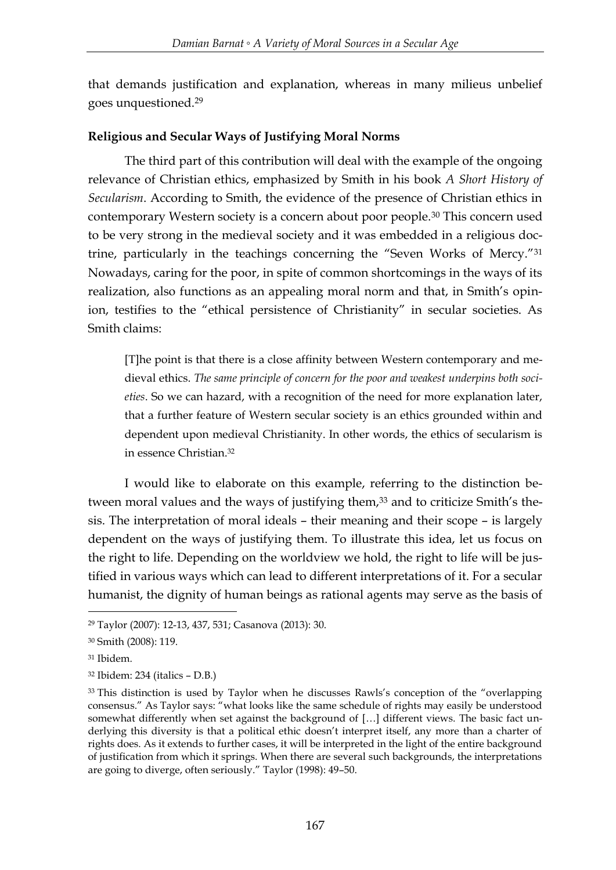that demands justification and explanation, whereas in many milieus unbelief goes unquestioned.<sup>29</sup>

## **Religious and Secular Ways of Justifying Moral Norms**

The third part of this contribution will deal with the example of the ongoing relevance of Christian ethics, emphasized by Smith in his book *A Short History of Secularism*. According to Smith, the evidence of the presence of Christian ethics in contemporary Western society is a concern about poor people.<sup>30</sup> This concern used to be very strong in the medieval society and it was embedded in a religious doctrine, particularly in the teachings concerning the "Seven Works of Mercy."<sup>31</sup> Nowadays, caring for the poor, in spite of common shortcomings in the ways of its realization, also functions as an appealing moral norm and that, in Smith's opinion, testifies to the "ethical persistence of Christianity" in secular societies. As Smith claims:

[T]he point is that there is a close affinity between Western contemporary and medieval ethics. *The same principle of concern for the poor and weakest underpins both societies*. So we can hazard, with a recognition of the need for more explanation later, that a further feature of Western secular society is an ethics grounded within and dependent upon medieval Christianity. In other words, the ethics of secularism is in essence Christian.<sup>32</sup>

I would like to elaborate on this example, referring to the distinction between moral values and the ways of justifying them,<sup>33</sup> and to criticize Smith's thesis. The interpretation of moral ideals – their meaning and their scope – is largely dependent on the ways of justifying them. To illustrate this idea, let us focus on the right to life. Depending on the worldview we hold, the right to life will be justified in various ways which can lead to different interpretations of it. For a secular humanist, the dignity of human beings as rational agents may serve as the basis of

<sup>29</sup> Taylor (2007): 12-13, 437, 531; Casanova (2013): 30.

<sup>30</sup> Smith (2008): 119.

<sup>31</sup> Ibidem.

<sup>32</sup> Ibidem: 234 (italics – D.B.)

<sup>&</sup>lt;sup>33</sup> This distinction is used by Taylor when he discusses Rawls's conception of the "overlapping consensus." As Taylor says: "what looks like the same schedule of rights may easily be understood somewhat differently when set against the background of […] different views. The basic fact underlying this diversity is that a political ethic doesn't interpret itself, any more than a charter of rights does. As it extends to further cases, it will be interpreted in the light of the entire background of justification from which it springs. When there are several such backgrounds, the interpretations are going to diverge, often seriously." Taylor (1998): 49–50.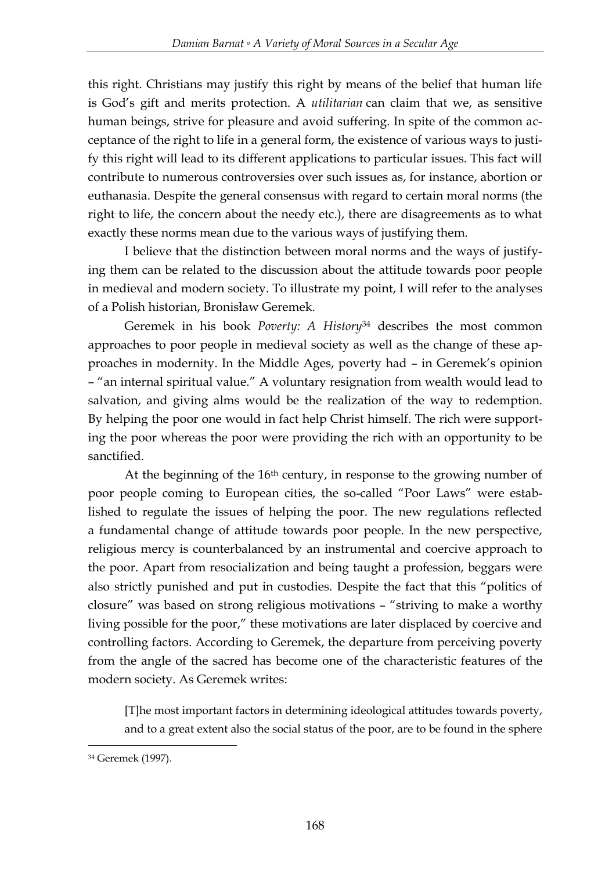this right. Christians may justify this right by means of the belief that human life is God's gift and merits protection. A *utilitarian* can claim that we, as sensitive human beings, strive for pleasure and avoid suffering. In spite of the common acceptance of the right to life in a general form, the existence of various ways to justify this right will lead to its different applications to particular issues. This fact will contribute to numerous controversies over such issues as, for instance, abortion or euthanasia. Despite the general consensus with regard to certain moral norms (the right to life, the concern about the needy etc.), there are disagreements as to what exactly these norms mean due to the various ways of justifying them.

I believe that the distinction between moral norms and the ways of justifying them can be related to the discussion about the attitude towards poor people in medieval and modern society. To illustrate my point, I will refer to the analyses of a Polish historian, Bronisław Geremek.

Geremek in his book *Poverty: A History*<sup>34</sup> describes the most common approaches to poor people in medieval society as well as the change of these approaches in modernity. In the Middle Ages, poverty had – in Geremek's opinion – "an internal spiritual value." A voluntary resignation from wealth would lead to salvation, and giving alms would be the realization of the way to redemption. By helping the poor one would in fact help Christ himself. The rich were supporting the poor whereas the poor were providing the rich with an opportunity to be sanctified.

At the beginning of the  $16<sup>th</sup>$  century, in response to the growing number of poor people coming to European cities, the so-called "Poor Laws" were established to regulate the issues of helping the poor. The new regulations reflected a fundamental change of attitude towards poor people. In the new perspective, religious mercy is counterbalanced by an instrumental and coercive approach to the poor. Apart from resocialization and being taught a profession, beggars were also strictly punished and put in custodies. Despite the fact that this "politics of closure" was based on strong religious motivations – "striving to make a worthy living possible for the poor," these motivations are later displaced by coercive and controlling factors. According to Geremek, the departure from perceiving poverty from the angle of the sacred has become one of the characteristic features of the modern society. As Geremek writes:

[T]he most important factors in determining ideological attitudes towards poverty, and to a great extent also the social status of the poor, are to be found in the sphere

<sup>34</sup> Geremek (1997).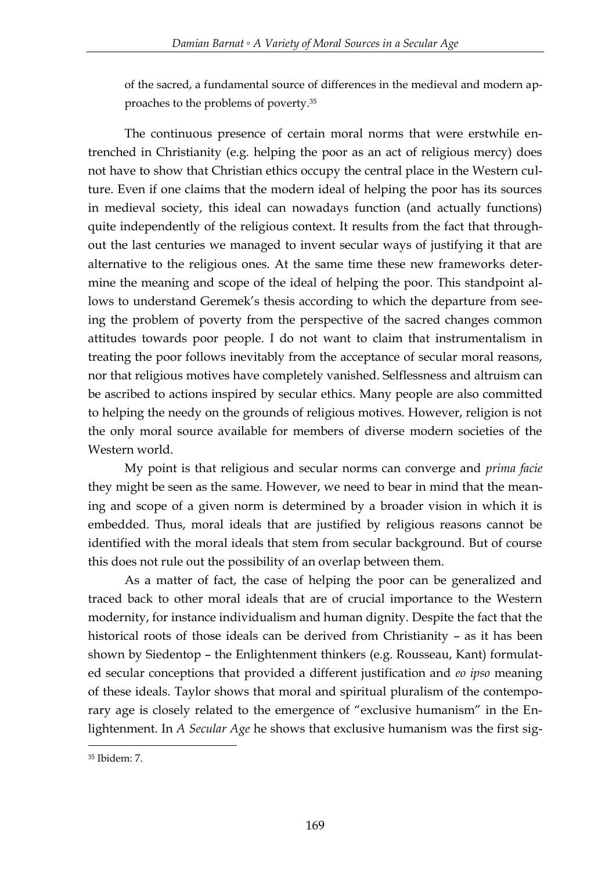of the sacred, a fundamental source of differences in the medieval and modern approaches to the problems of poverty.<sup>35</sup>

The continuous presence of certain moral norms that were erstwhile entrenched in Christianity (e.g. helping the poor as an act of religious mercy) does not have to show that Christian ethics occupy the central place in the Western culture. Even if one claims that the modern ideal of helping the poor has its sources in medieval society, this ideal can nowadays function (and actually functions) quite independently of the religious context. It results from the fact that throughout the last centuries we managed to invent secular ways of justifying it that are alternative to the religious ones. At the same time these new frameworks determine the meaning and scope of the ideal of helping the poor. This standpoint allows to understand Geremek's thesis according to which the departure from seeing the problem of poverty from the perspective of the sacred changes common attitudes towards poor people. I do not want to claim that instrumentalism in treating the poor follows inevitably from the acceptance of secular moral reasons, nor that religious motives have completely vanished. Selflessness and altruism can be ascribed to actions inspired by secular ethics. Many people are also committed to helping the needy on the grounds of religious motives. However, religion is not the only moral source available for members of diverse modern societies of the Western world.

My point is that religious and secular norms can converge and *prima facie*  they might be seen as the same. However, we need to bear in mind that the meaning and scope of a given norm is determined by a broader vision in which it is embedded. Thus, moral ideals that are justified by religious reasons cannot be identified with the moral ideals that stem from secular background. But of course this does not rule out the possibility of an overlap between them.

As a matter of fact, the case of helping the poor can be generalized and traced back to other moral ideals that are of crucial importance to the Western modernity, for instance individualism and human dignity. Despite the fact that the historical roots of those ideals can be derived from Christianity – as it has been shown by Siedentop – the Enlightenment thinkers (e.g. Rousseau, Kant) formulated secular conceptions that provided a different justification and *eo ipso* meaning of these ideals. Taylor shows that moral and spiritual pluralism of the contemporary age is closely related to the emergence of "exclusive humanism" in the Enlightenment. In *A Secular Age* he shows that exclusive humanism was the first sig-

<sup>35</sup> Ibidem: 7.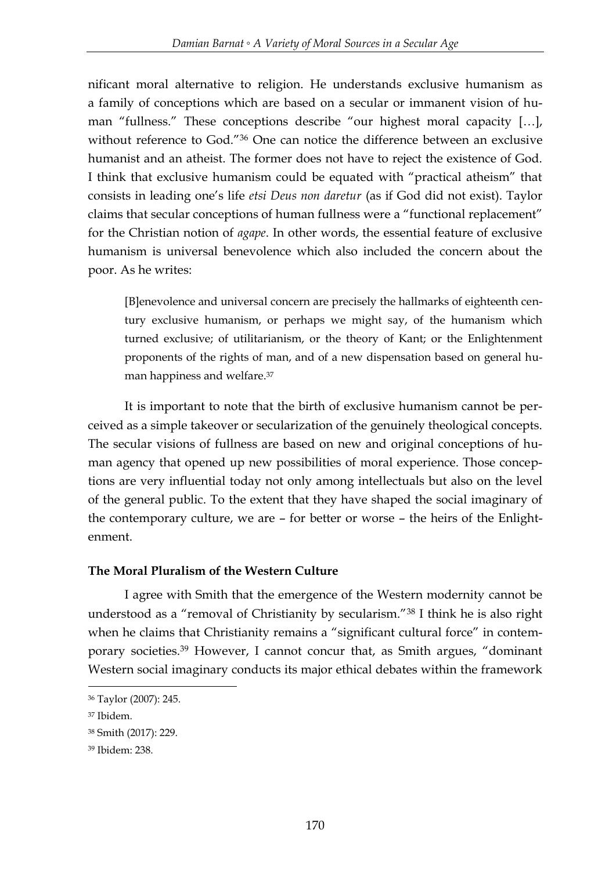nificant moral alternative to religion. He understands exclusive humanism as a family of conceptions which are based on a secular or immanent vision of human "fullness." These conceptions describe "our highest moral capacity […], without reference to God."<sup>36</sup> One can notice the difference between an exclusive humanist and an atheist. The former does not have to reject the existence of God. I think that exclusive humanism could be equated with "practical atheism" that consists in leading one's life *etsi Deus non daretur* (as if God did not exist). Taylor claims that secular conceptions of human fullness were a "functional replacement" for the Christian notion of *agape*. In other words, the essential feature of exclusive humanism is universal benevolence which also included the concern about the poor. As he writes:

[B]enevolence and universal concern are precisely the hallmarks of eighteenth century exclusive humanism, or perhaps we might say, of the humanism which turned exclusive; of utilitarianism, or the theory of Kant; or the Enlightenment proponents of the rights of man, and of a new dispensation based on general human happiness and welfare.<sup>37</sup>

It is important to note that the birth of exclusive humanism cannot be perceived as a simple takeover or secularization of the genuinely theological concepts. The secular visions of fullness are based on new and original conceptions of human agency that opened up new possibilities of moral experience. Those conceptions are very influential today not only among intellectuals but also on the level of the general public. To the extent that they have shaped the social imaginary of the contemporary culture, we are – for better or worse – the heirs of the Enlightenment.

# **The Moral Pluralism of the Western Culture**

I agree with Smith that the emergence of the Western modernity cannot be understood as a "removal of Christianity by secularism."<sup>38</sup> I think he is also right when he claims that Christianity remains a "significant cultural force" in contemporary societies.<sup>39</sup> However, I cannot concur that, as Smith argues, "dominant Western social imaginary conducts its major ethical debates within the framework

<sup>36</sup> Taylor (2007): 245.

<sup>37</sup> Ibidem.

<sup>38</sup> Smith (2017): 229.

<sup>39</sup> Ibidem: 238.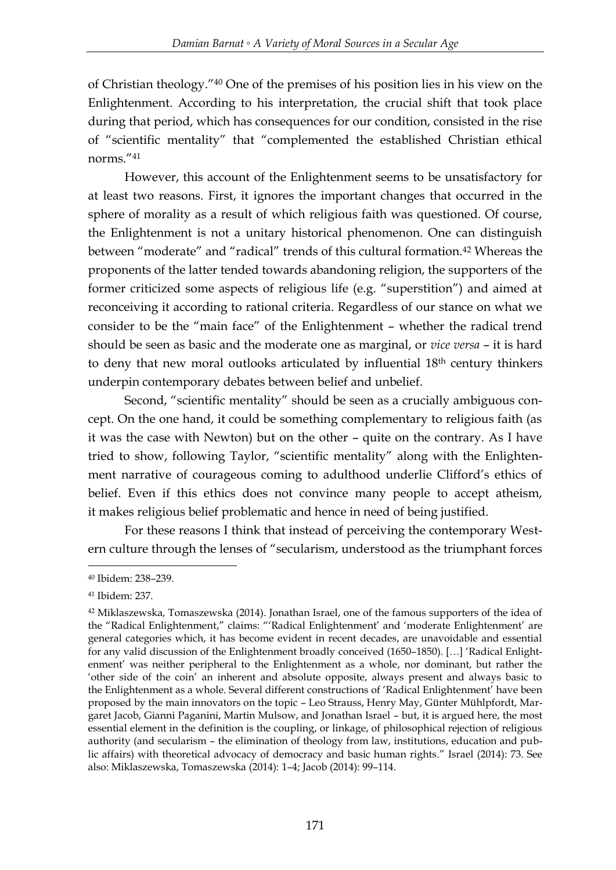of Christian theology."<sup>40</sup> One of the premises of his position lies in his view on the Enlightenment. According to his interpretation, the crucial shift that took place during that period, which has consequences for our condition, consisted in the rise of "scientific mentality" that "complemented the established Christian ethical norms."<sup>41</sup>

However, this account of the Enlightenment seems to be unsatisfactory for at least two reasons. First, it ignores the important changes that occurred in the sphere of morality as a result of which religious faith was questioned. Of course, the Enlightenment is not a unitary historical phenomenon. One can distinguish between "moderate" and "radical" trends of this cultural formation.<sup>42</sup> Whereas the proponents of the latter tended towards abandoning religion, the supporters of the former criticized some aspects of religious life (e.g. "superstition") and aimed at reconceiving it according to rational criteria. Regardless of our stance on what we consider to be the "main face" of the Enlightenment – whether the radical trend should be seen as basic and the moderate one as marginal, or *vice versa* – it is hard to deny that new moral outlooks articulated by influential 18th century thinkers underpin contemporary debates between belief and unbelief.

Second, "scientific mentality" should be seen as a crucially ambiguous concept. On the one hand, it could be something complementary to religious faith (as it was the case with Newton) but on the other – quite on the contrary. As I have tried to show, following Taylor, "scientific mentality" along with the Enlightenment narrative of courageous coming to adulthood underlie Clifford's ethics of belief. Even if this ethics does not convince many people to accept atheism, it makes religious belief problematic and hence in need of being justified.

For these reasons I think that instead of perceiving the contemporary Western culture through the lenses of "secularism, understood as the triumphant forces

<sup>-</sup><sup>40</sup> Ibidem: 238–239.

<sup>41</sup> Ibidem: 237.

<sup>42</sup> Miklaszewska, Tomaszewska (2014). Jonathan Israel, one of the famous supporters of the idea of the "Radical Enlightenment," claims: "'Radical Enlightenment' and 'moderate Enlightenment' are general categories which, it has become evident in recent decades, are unavoidable and essential for any valid discussion of the Enlightenment broadly conceived (1650–1850). […] 'Radical Enlightenment' was neither peripheral to the Enlightenment as a whole, nor dominant, but rather the 'other side of the coin' an inherent and absolute opposite, always present and always basic to the Enlightenment as a whole. Several different constructions of 'Radical Enlightenment' have been proposed by the main innovators on the topic – Leo Strauss, Henry May, Günter Mühlpfordt, Margaret Jacob, Gianni Paganini, Martin Mulsow, and Jonathan Israel – but, it is argued here, the most essential element in the definition is the coupling, or linkage, of philosophical rejection of religious authority (and secularism – the elimination of theology from law, institutions, education and public affairs) with theoretical advocacy of democracy and basic human rights." Israel (2014): 73. See also: Miklaszewska, Tomaszewska (2014): 1–4; Jacob (2014): 99–114.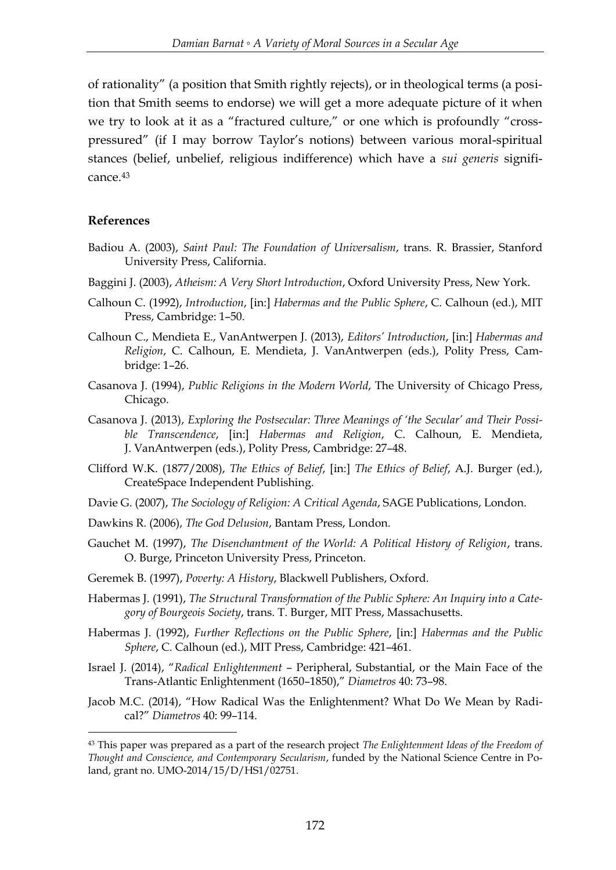of rationality" (a position that Smith rightly rejects), or in theological terms (a position that Smith seems to endorse) we will get a more adequate picture of it when we try to look at it as a "fractured culture," or one which is profoundly "crosspressured" (if I may borrow Taylor's notions) between various moral-spiritual stances (belief, unbelief, religious indifference) which have a *sui generis* significance 43

### **References**

- Badiou A. (2003), *Saint Paul: The Foundation of Universalism*, trans. R. Brassier, Stanford University Press, California.
- Baggini J. (2003), *Atheism: A Very Short Introduction*, Oxford University Press, New York.
- Calhoun C. (1992), *Introduction*, [in:] *Habermas and the Public Sphere*, C. Calhoun (ed.), MIT Press, Cambridge: 1–50.
- Calhoun C., Mendieta E., VanAntwerpen J. (2013), *Editors' Introduction*, [in:] *Habermas and Religion*, C. Calhoun, E. Mendieta, J. VanAntwerpen (eds.), Polity Press, Cambridge: 1–26.
- Casanova J. (1994), *Public Religions in the Modern World*, The University of Chicago Press, Chicago.
- Casanova J. (2013), *Exploring the Postsecular: Three Meanings of 'the Secular' and Their Possible Transcendence*, [in:] *Habermas and Religion*, C. Calhoun, E. Mendieta, J. VanAntwerpen (eds.), Polity Press, Cambridge: 27–48.
- Clifford W.K. (1877/2008), *The Ethics of Belief*, [in:] *The Ethics of Belief*, A.J. Burger (ed.), CreateSpace Independent Publishing.
- Davie G. (2007), *The Sociology of Religion: A Critical Agenda*, SAGE Publications, London.
- Dawkins R. (2006), *The God Delusion*, Bantam Press, London.
- Gauchet M. (1997), *The Disenchantment of the World: A Political History of Religion*, trans. O. Burge, Princeton University Press, Princeton.
- Geremek B. (1997), *Poverty: A History*, Blackwell Publishers, Oxford.
- Habermas J. (1991), *The Structural Transformation of the Public Sphere: An Inquiry into a Category of Bourgeois Society*, trans. T. Burger, MIT Press, Massachusetts.
- Habermas J. (1992), *Further Reflections on the Public Sphere*, [in:] *Habermas and the Public Sphere*, C. Calhoun (ed.), MIT Press, Cambridge: 421–461.
- Israel J. (2014), "*Radical Enlightenment* Peripheral, Substantial, or the Main Face of the Trans-Atlantic Enlightenment (1650–1850)," *Diametros* 40: 73–98.
- Jacob M.C. (2014), "How Radical Was the Enlightenment? What Do We Mean by Radical?" *Diametros* 40: 99–114.

<sup>43</sup> This paper was prepared as a part of the research project *The Enlightenment Ideas of the Freedom of Thought and Conscience, and Contemporary Secularism*, funded by the National Science Centre in Poland, grant no. UMO-2014/15/D/HS1/02751.